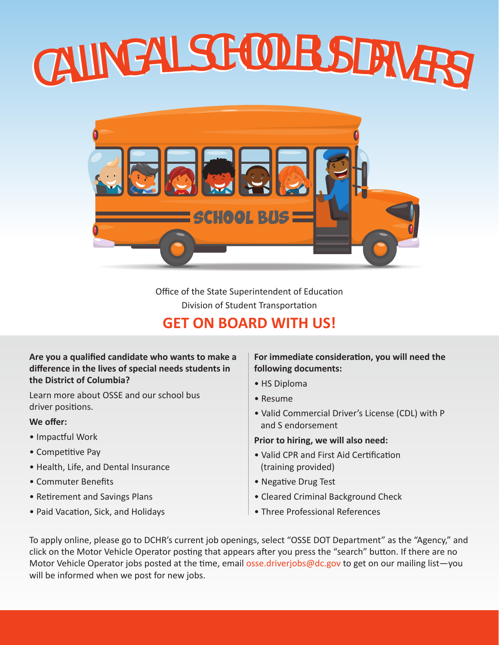# CALLING ALL SCHOOL BUS DRIVERS!



Office of the State Superintendent of Education Division of Student Transportation

# **GET ON BOARD WITH US!**

#### **Are you a qualified candidate who wants to make a difference in the lives of special needs students in the District of Columbia?**

Learn more about OSSE and our school bus driver positions.

#### **We offer:**

- Impactful Work
- Competitive Pay
- Health, Life, and Dental Insurance
- Commuter Benefits
- Retirement and Savings Plans
- Paid Vacation, Sick, and Holidays

#### **For immediate consideration, you will need the following documents:**

- HS Diploma
- Resume
- Valid Commercial Driver's License (CDL) with P and S endorsement

**Prior to hiring, we will also need:**

- Valid CPR and First Aid Certification (training provided)
- Negative Drug Test
- Cleared Criminal Background Check
- Three Professional References

To apply online, please go to DCHR's current job openings, select "OSSE DOT Department" as the "Agency," and click on the Motor Vehicle Operator posting that appears after you press the "search" button. If there are no Motor Vehicle Operator jobs posted at the time, email osse.driverjobs@dc.gov to get on our mailing list-you will be informed when we post for new jobs.